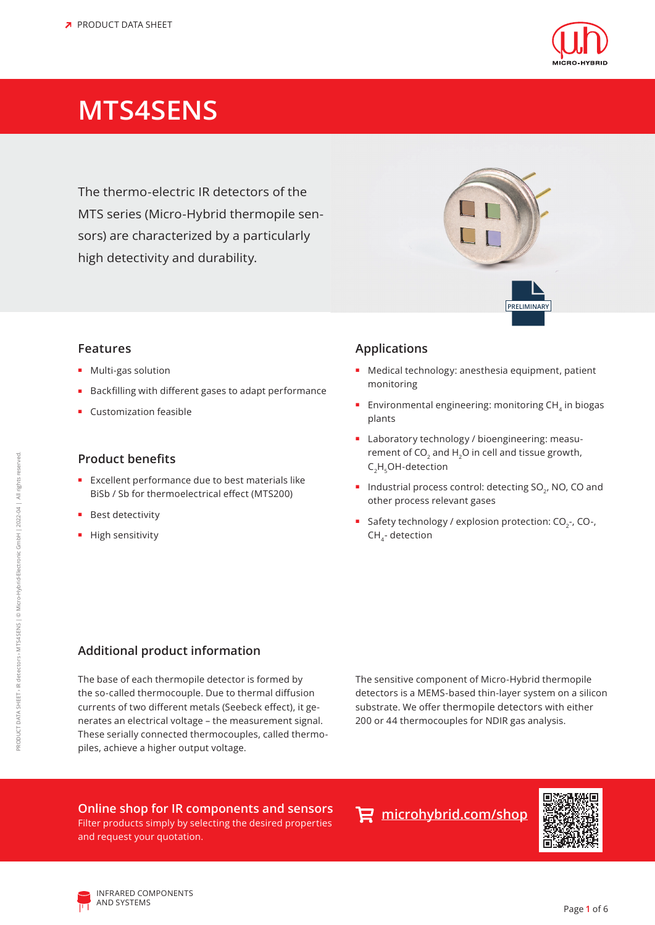

# **MTS4SENS**

The thermo-electric IR detectors of the MTS series (Micro-Hybrid thermopile sensors) are characterized by a particularly high detectivity and durability.

#### **Features**

- **■** Multi-gas solution
- **■** Backfilling with different gases to adapt performance
- **■** Customization feasible

#### **Product benefits**

- **■** Excellent performance due to best materials like BiSb / Sb for thermoelectrical effect (MTS200)
- **■** Best detectivity
- **■** High sensitivity

### **Applications**

**■** Medical technology: anesthesia equipment, patient monitoring

**PRELIMINARY**

- Environmental engineering: monitoring CH<sub>4</sub> in biogas plants
- **■** Laboratory technology / bioengineering: measurement of CO<sub>2</sub> and H<sub>2</sub>O in cell and tissue growth, C<sub>2</sub>H<sub>5</sub>OH-detection
- Industrial process control: detecting SO<sub>2</sub>, NO, CO and other process relevant gases
- Safety technology / explosion protection: CO<sub>2</sub>-, CO-, CH<sub>4</sub>- detection

### **Additional product information**

The base of each thermopile detector is formed by the so-called thermocouple. Due to thermal diffusion currents of two different metals (Seebeck effect), it generates an electrical voltage – the measurement signal. These serially connected thermocouples, called thermopiles, achieve a higher output voltage.

The sensitive component of Micro-Hybrid thermopile detectors is a MEMS-based thin-layer system on a silicon substrate. We offer thermopile detectors with either 200 or 44 thermocouples for NDIR gas analysis.

### **Online shop for IR components and sensors**

Filter products simply by selecting the desired properties and request your quotation.





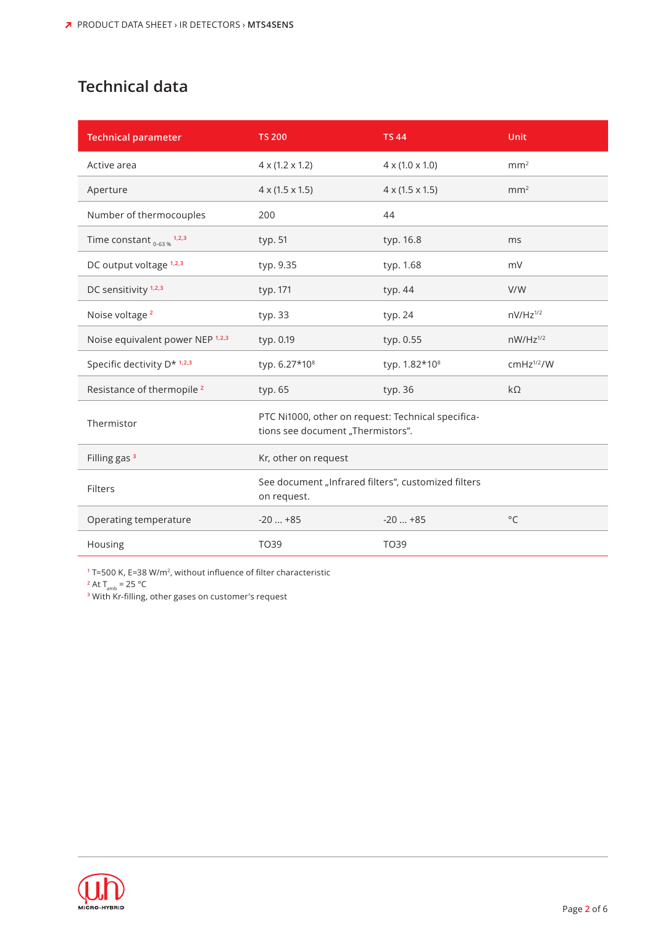## **Technical data**

| <b>Technical parameter</b>            | <b>TS 200</b>                                                                           | <b>TS44</b>                 | Unit                   |  |  |
|---------------------------------------|-----------------------------------------------------------------------------------------|-----------------------------|------------------------|--|--|
| Active area                           | $4 \times (1.2 \times 1.2)$                                                             | $4 \times (1.0 \times 1.0)$ | mm <sup>2</sup>        |  |  |
| Aperture                              | $4 \times (1.5 \times 1.5)$                                                             | $4 \times (1.5 \times 1.5)$ | mm <sup>2</sup>        |  |  |
| Number of thermocouples               | 200                                                                                     | 44                          |                        |  |  |
| Time constant $_{0.63\%}$ 1,2,3       | typ. 51                                                                                 | typ. 16.8                   | ms                     |  |  |
| DC output voltage 1,2,3               | typ. 9.35                                                                               | typ. 1.68                   | mV                     |  |  |
| DC sensitivity <sup>1,2,3</sup>       | typ. 171                                                                                | typ. 44                     | V/W                    |  |  |
| Noise voltage <sup>2</sup>            | typ. 33                                                                                 | typ. 24                     | $nV/Hz^{1/2}$          |  |  |
| Noise equivalent power NEP 1,2,3      | typ. 0.19                                                                               | typ. 0.55                   | $nW/Hz^{1/2}$          |  |  |
| Specific dectivity D* 1,2,3           | typ. 6.27*10 <sup>8</sup>                                                               | typ. 1.82*10 <sup>8</sup>   | cmHz <sup>1/2</sup> /W |  |  |
| Resistance of thermopile <sup>2</sup> | typ. 65                                                                                 | typ. 36                     | $k\Omega$              |  |  |
| Thermistor                            | PTC Ni1000, other on request: Technical specifica-<br>tions see document "Thermistors". |                             |                        |  |  |
| Filling gas <sup>3</sup>              | Kr, other on request                                                                    |                             |                        |  |  |
| Filters                               | See document "Infrared filters", customized filters<br>on request.                      |                             |                        |  |  |
| Operating temperature                 | $-20+85$                                                                                | $-20+85$                    | $^{\circ}$ C           |  |  |
| Housing                               | TO39                                                                                    | TO39                        |                        |  |  |

**<sup>1</sup>** T=500 K, E=38 W/m2, without influence of filter characteristic

 $2$  At T<sub>amb</sub> = 25 °C

**<sup>3</sup>** With Kr-filling, other gases on customer's request

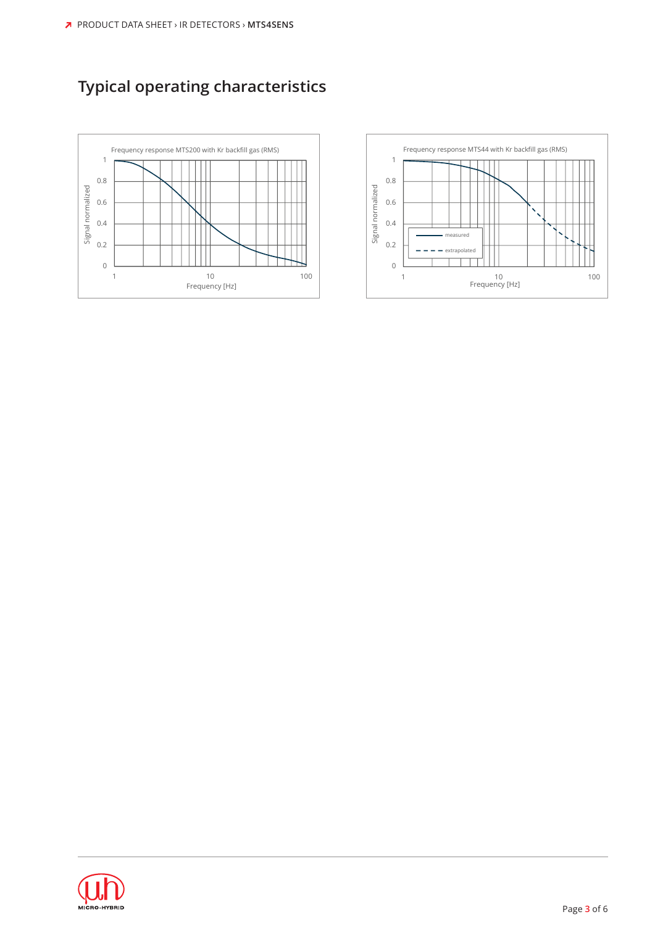# **Typical operating characteristics**





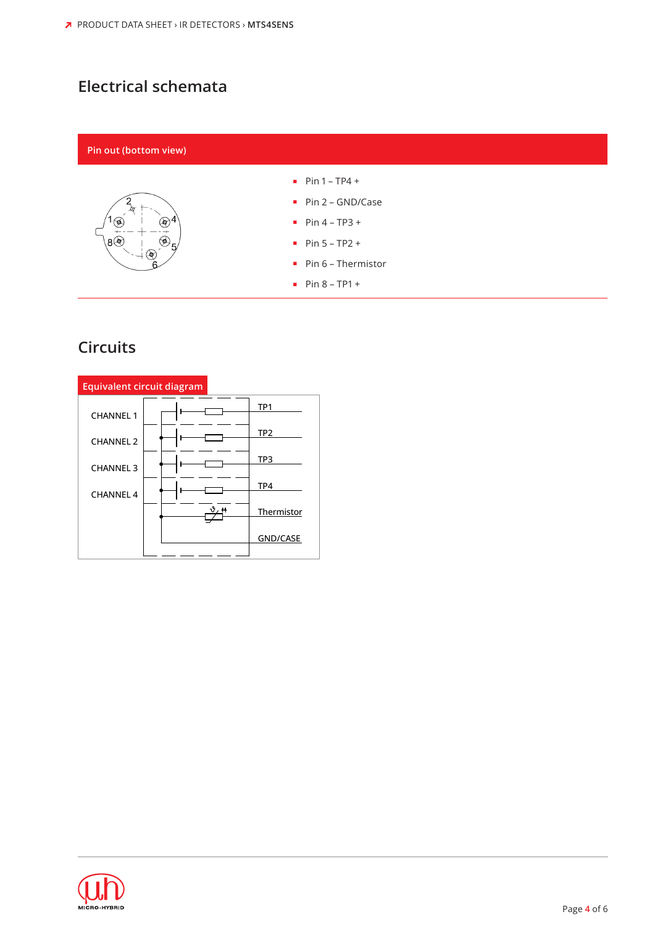## **Electrical schemata**

#### **Pin out (bottom view)**



#### **■** Pin 1 – TP4 +

- **■** Pin 2 GND/Case
- **■** Pin 4 TP3 +
- **■** Pin 5 TP2 +
- **■** Pin 6 Thermistor
- **■** Pin 8 TP1 +

### **Circuits**

| Equivalent circuit diagram |                                  |                 |  |  |  |  |  |  |
|----------------------------|----------------------------------|-----------------|--|--|--|--|--|--|
| <b>CHANNEL 1</b>           |                                  | TP <sub>1</sub> |  |  |  |  |  |  |
| <b>CHANNEL 2</b>           |                                  | TP <sub>2</sub> |  |  |  |  |  |  |
| <b>CHANNEL 3</b>           |                                  | TP3             |  |  |  |  |  |  |
| <b>CHANNEL 4</b>           |                                  | TP4             |  |  |  |  |  |  |
|                            | $\vartheta$ , $\boldsymbol{\mu}$ | Thermistor      |  |  |  |  |  |  |
|                            |                                  | <b>GND/CASE</b> |  |  |  |  |  |  |

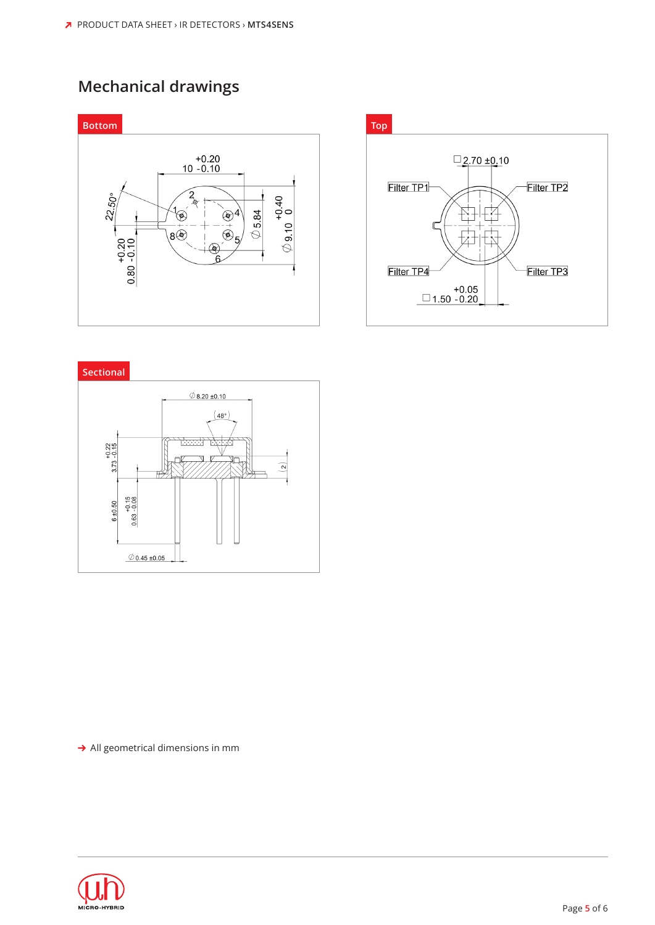### **Mechanical drawings**







 $\rightarrow$  All geometrical dimensions in mm